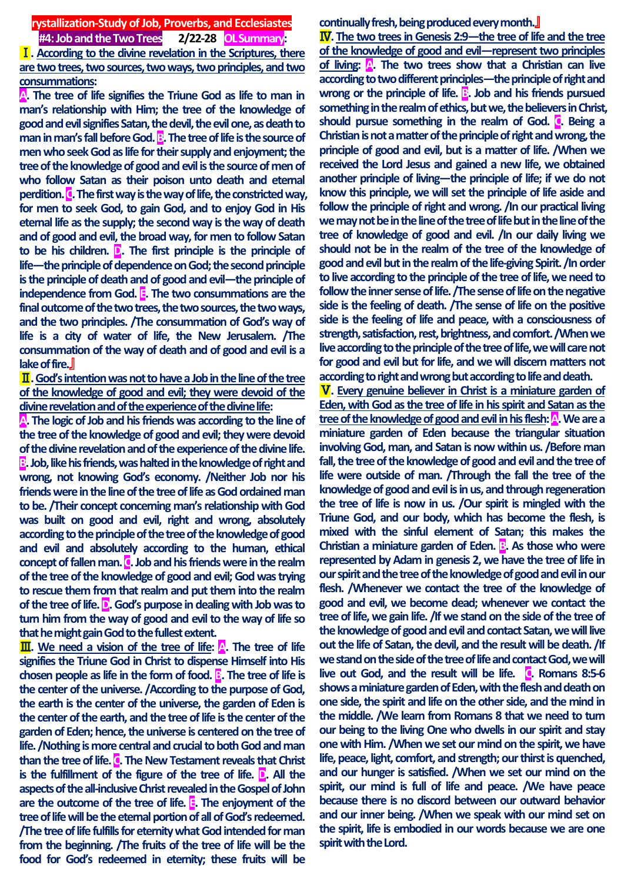**rystallization-Study of Job, Proverbs, and Ecclesiastes #4: Job and the Two Trees 2/22-28 OL Summary:** Ⅰ**. According to the divine revelation in the Scriptures, there are two trees, two sources, two ways, two principles, and two consummations:** 

**A. The tree of life signifies the Triune God as life to man in man's relationship with Him; the tree of the knowledge of good and evil signifies Satan, the devil, the evil one, as death to man in man's fall before God. <b>B**. The tree of life is the source of **men who seek God as life for their supply and enjoyment; the tree of the knowledge of good and evil is the source of men of who follow Satan as their poison unto death and eternal perdition. C. The first way is the way of life, the constricted way, for men to seek God, to gain God, and to enjoy God in His eternal life as the supply; the second way is the way of death and of good and evil, the broad way, for men to follow Satan to be his children. D. The first principle is the principle of life—the principle of dependence on God; the second principle is the principle of death and of good and evil—the principle of independence from God. E. The two consummations are the final outcome of the two trees, the two sources, the two ways, and the two principles. /The consummation of God's way of life is a city of water of life, the New Jerusalem. /The consummation of the way of death and of good and evil is a lake of fire.**』

Ⅱ**. God's intention was not to have a Job in the line of the tree of the knowledge of good and evil; they were devoid of the divine revelation and of the experience of the divine life:** 

**A. The logic of Job and his friends was according to the line of the tree of the knowledge of good and evil; they were devoid of the divine revelation and of the experience of the divine life. B. Job, like his friends, was halted in the knowledge of right and wrong, not knowing God's economy. /Neither Job nor his friends were in the line of the tree of life as God ordained man to be. /Their concept concerning man's relationship with God was built on good and evil, right and wrong, absolutely according to the principle of the tree of the knowledge of good and evil and absolutely according to the human, ethical concept of fallen man. C. Job and his friends were in the realm of the tree of the knowledge of good and evil; God was trying to rescue them from that realm and put them into the realm of the tree of life. D. God's purpose in dealing with Job was to turn him from the way of good and evil to the way of life so that he might gain God to the fullest extent.**

Ⅲ**. We need a vision of the tree of life: A. The tree of life signifies the Triune God in Christ to dispense Himself into His chosen people as life in the form of food. B. The tree of life is the center of the universe. /According to the purpose of God, the earth is the center of the universe, the garden of Eden is the center of the earth, and the tree of life is the center of the garden of Eden; hence, the universe is centered on the tree of life. /Nothing is more central and crucial to both God and man than the tree of life. C. The New Testament reveals that Christ is the fulfillment of the figure of the tree of life. D. All the aspects of the all-inclusive Christ revealed in the Gospel of John are the outcome of the tree of life. E. The enjoyment of the tree of life will be the eternal portion of all of God's redeemed. /The tree of life fulfills for eternity what God intended for man from the beginning. /The fruits of the tree of life will be the food for God's redeemed in eternity; these fruits will be** 

**continually fresh, being produced every month.**』

Ⅳ**. The two trees in Genesis 2:9—the tree of life and the tree of the knowledge of good and evil—represent two principles of living: A. The two trees show that a Christian can live according to two different principles—the principle of right and**  wrong or the principle of life. **B**. Job and his friends pursued **something in the realm of ethics, but we, the believers in Christ, should pursue something in the realm of God. C. Being a Christian is not a matter of the principle of right and wrong, the principle of good and evil, but is a matter of life. /When we received the Lord Jesus and gained a new life, we obtained another principle of living—the principle of life; if we do not know this principle, we will set the principle of life aside and follow the principle of right and wrong. /In our practical living we may not be in the line of the tree of life but in the line of the tree of knowledge of good and evil. /In our daily living we should not be in the realm of the tree of the knowledge of good and evil but in the realm of the life-giving Spirit. /In order to live according to the principle of the tree of life, we need to follow the inner sense of life. /The sense of life on the negative side is the feeling of death. /The sense of life on the positive side is the feeling of life and peace, with a consciousness of strength, satisfaction, rest, brightness, and comfort. /When we live according to the principle of the tree of life, we will care not for good and evil but for life, and we will discern matters not according to right and wrong but according to life and death.**

Ⅴ**. Every genuine believer in Christ is a miniature garden of Eden, with God as the tree of life in his spirit and Satan as the**  tree of the knowledge of good and evil in his flesh: **A**. We are a **miniature garden of Eden because the triangular situation involving God, man, and Satan is now within us. /Before man fall, the tree of the knowledge of good and evil and the tree of life were outside of man. /Through the fall the tree of the knowledge of good and evil is in us, and through regeneration the tree of life is now in us. /Our spirit is mingled with the Triune God, and our body, which has become the flesh, is mixed with the sinful element of Satan; this makes the Christian a miniature garden of Eden. B. As those who were represented by Adam in genesis 2, we have the tree of life in our spirit and the tree of the knowledge of good and evil in our flesh. /Whenever we contact the tree of the knowledge of good and evil, we become dead; whenever we contact the tree of life, we gain life. /If we stand on the side of the tree of the knowledge of good and evil and contact Satan, we will live out the life of Satan, the devil, and the result will be death. /If we stand on the side of the tree of life and contact God, we will**  live out God, and the result will be life. **C.** Romans 8:5-6 **shows a miniature garden of Eden, with the flesh and death on one side, the spirit and life on the other side, and the mind in the middle. /We learn from Romans 8 that we need to turn our being to the living One who dwells in our spirit and stay one with Him. /When we set our mind on the spirit, we have life, peace, light, comfort, and strength; our thirst is quenched, and our hunger is satisfied. /When we set our mind on the spirit, our mind is full of life and peace. /We have peace because there is no discord between our outward behavior and our inner being. /When we speak with our mind set on the spirit, life is embodied in our words because we are one spirit with the Lord.**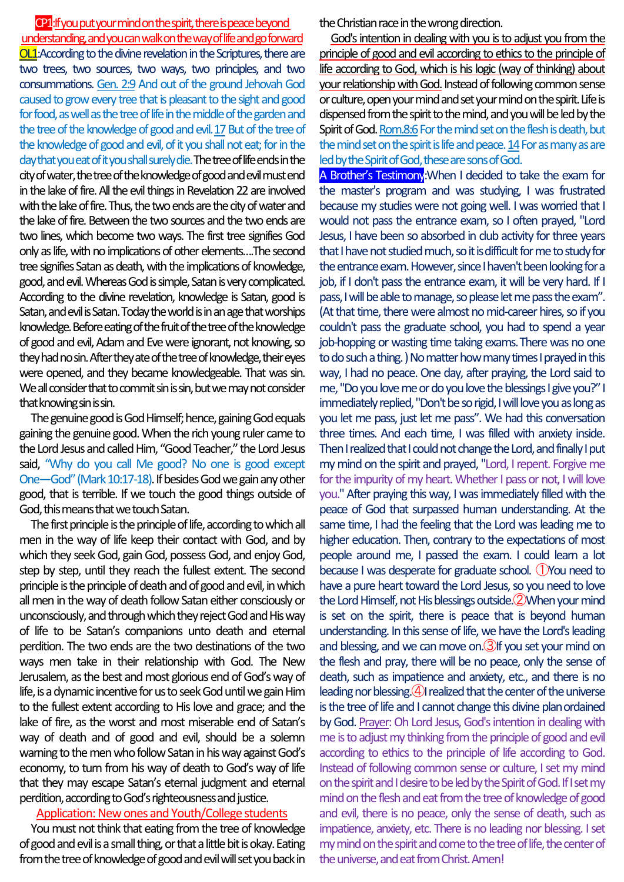CP1:Ifyou put your mind on the spirit, there is peace beyond understanding, and you can walk on the way of life and go forward OL1:According to the divine revelation in the Scriptures, there are two trees, two sources, two ways, two principles, and two consummations. Gen. 2:9 And out of the ground Jehovah God caused to grow every tree that is pleasant to the sight and good for food, as well as the tree of life in the middle of the garden and the tree of the knowledge of good and evil. 17 But of the tree of the knowledge of good and evil, of it you shall not eat; for in the day that you eat of it you shall surely die.The tree of life ends in the cityof water, the tree of the knowledge of good and evil must end in the lake of fire. All the evil things in Revelation 22 are involved with the lake of fire. Thus, the two ends are the city of water and the lake of fire. Between the two sources and the two ends are two lines, which become two ways. The first tree signifies God only as life, with no implications of other elements....The second tree signifies Satan as death, with the implications of knowledge, good, and evil.Whereas God is simple, Satan is very complicated. According to the divine revelation, knowledge is Satan, good is Satan, and evil is Satan.Today the world is in an age that worships knowledge. Before eating of the fruit of the tree of the knowledge of good and evil, Adam and Eve were ignorant, not knowing, so they had no sin. After they ate of the tree of knowledge, their eyes were opened, and they became knowledgeable. That was sin. We all consider that to commit sin is sin, but we may not consider

The genuine good is God Himself; hence, gaining Godequals gaining the genuine good. When the rich young ruler came to the Lord Jesus and called Him, "Good Teacher," the Lord Jesus said, "Why do you call Me good? No one is good except One—God" (Mark 10:17-18). If besides God we gain any other good, that is terrible. If we touch the good things outside of God, this means that we touch Satan.

that knowing sin is sin.

The first principle is the principle of life, according to which all men in the way of life keep their contact with God, and by which they seek God, gain God, possess God, and enjoy God, step by step, until they reach the fullest extent. The second principle is the principle of death and of good and evil, in which all men in the way of death follow Satan either consciously or unconsciously, and through which theyreject God and His way of life to be Satan's companions unto death and eternal perdition. The two ends are the two destinations of the two ways men take in their relationship with God. The New Jerusalem, as the best and most glorious end of God's way of life, is a dynamic incentive for us to seek God until we gain Him to the fullest extent according to His love and grace; and the lake of fire, as the worst and most miserable end of Satan's way of death and of good and evil, should be a solemn warning to the men who follow Satan in his way against God's economy, to turn from his way of death to God's way of life that they may escape Satan's eternal judgment and eternal perdition, according to God's righteousness and justice.

## Application: New ones and Youth/College students

You must not think that eating from the tree of knowledge of good and evil is a small thing, or that a little bit is okay. Eating from the tree of knowledge of good and evil will set you back in the Christian race in the wrong direction.

God's intention in dealing with you is to adjust you from the principle of good and evil according to ethics to the principle of life according to God, which is his logic (way of thinking) about your relationship with God. Instead of following common sense or culture, open your mind and set your mind on the spirit. Life is dispensed from the spirit to the mind, and you will be led by the Spirit of God. Rom.8:6 For the mind set on the flesh is death, but the mind set on the spirit is life and peace.  $14$  For as many as are led by the Spirit of God, these are sons of God.

A Brother's Testimony: When I decided to take the exam for the master's program and was studying, I was frustrated because my studies were not going well. I was worried that I would not pass the entrance exam, so I often prayed, "Lord Jesus, I have been so absorbed in club activity for three years that I have not studied much, so it is difficult for me to study for the entrance exam. However, since I haven't been looking for a job, if I don't pass the entrance exam, it will be very hard. If I pass, I will be able to manage, so please let me pass the exam". (At that time, there were almost no mid-career hires, so if you couldn't pass the graduate school, you had to spend a year job-hopping or wasting time taking exams.There was no one to do such a thing.) No matter how many times I prayed in this way, I had no peace. One day, after praying, the Lord said to me, "Do you love me or do you love the blessings I give you?" I immediately replied, "Don't be so rigid, I will love you as long as you let me pass, just let me pass". We had this conversation three times. And each time, I was filled with anxiety inside. Then I realized that I could not change the Lord, and finally I put my mind on the spirit and prayed, "Lord, I repent. Forgive me for the impurity of my heart. Whether I pass or not, I will love you." After praying this way, I was immediately filled with the peace of God that surpassed human understanding. At the same time, I had the feeling that the Lord was leading me to higher education. Then, contrary to the expectations of most people around me, I passed the exam. I could learn a lot because I was desperate for graduate school. ①You need to have a pure heart toward the Lord Jesus, so you need to love the Lord Himself, not His blessings outside.<sup>2</sup> When your mind is set on the spirit, there is peace that is beyond human understanding. In this sense of life, we have the Lord's leading and blessing, and we can move on.③If you set your mind on the flesh and pray, there will be no peace, only the sense of death, such as impatience and anxiety, etc., and there is no leading nor blessing. $(4)$  realized that the center of the universe is the tree of life and I cannot change this divine planordained by God. Prayer: Oh Lord Jesus, God's intention in dealing with me is to adjust my thinking from the principle of good and evil according to ethics to the principle of life according to God. Instead of following common sense or culture, I set my mind on the spirit and I desire to be led by the Spirit of God. If I set my mind on the flesh and eat from the tree of knowledge of good and evil, there is no peace, only the sense of death, such as impatience, anxiety, etc. There is no leading nor blessing. I set mymind on the spirit and come to the tree of life, the center of the universe, and eat from Christ. Amen!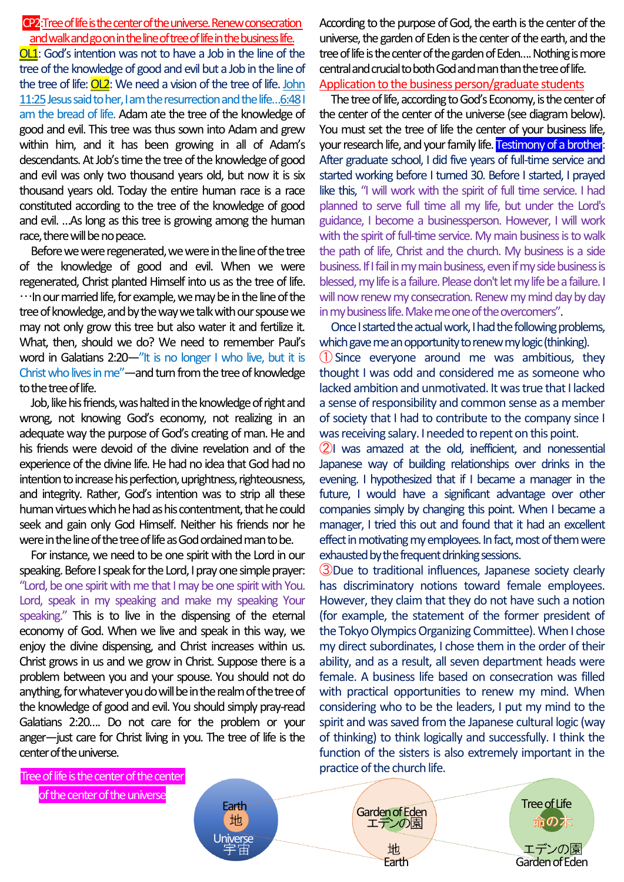## CP2:Treeof life is the center of the universe. Renew consecration and walk and go on in the line of tree of life in the business life.

OL1: God's intention was not to have a Job in the line of the tree of the knowledge of good and evil but a Job in the line of the tree of life: OL2: We need a vision of the tree of life. John 11:25 Jesus said to her, I am the resurrection and the life...6:48 I am the bread of life. Adam ate the tree of the knowledge of good and evil. This tree was thus sown into Adam and grew within him, and it has been growing in all of Adam's descendants. At Job's time the tree of the knowledge of good and evil was only two thousand years old, but now it is six thousand years old. Today the entire human race is a race constituted according to the tree of the knowledge of good and evil. …As long as this tree is growing among the human race, there will be no peace.

Before we were regenerated, we were in the line of the tree of the knowledge of good and evil. When we were regenerated, Christ planted Himself into us as the tree of life.  $\cdots$ In our married life, for example, we may be in the line of the tree of knowledge, and by the way we talk with ourspouse we may not only grow this tree but also water it and fertilize it. What, then, should we do? We need to remember Paul's word in Galatians 2:20-"It is no longer I who live, but it is Christ who lives in me"—and turn from the tree of knowledge to the tree of life.

Job, like his friends, was halted in the knowledge of right and wrong, not knowing God's economy, not realizing in an adequate way the purpose of God's creating of man. He and his friends were devoid of the divine revelation and of the experience of the divine life. He had no idea that God had no intention to increase his perfection, uprightness, righteousness, and integrity. Rather, God's intention was to strip all these human virtues which he had as his contentment, that he could seek and gain only God Himself. Neither his friends nor he were in the line of the tree of life as God ordained man to be.

For instance, we need to be one spirit with the Lord in our speaking. Before I speak for the Lord, I pray one simple prayer: "Lord, be one spirit with me that I may be one spirit with You. Lord, speak in my speaking and make my speaking Your speaking." This is to live in the dispensing of the eternal economy of God. When we live and speak in this way, we enjoy the divine dispensing, and Christ increases within us. Christ grows in us and we grow in Christ. Suppose there is a problem between you and your spouse. You should not do anything, for whatever you do will be in the realm of the tree of the knowledge of good and evil. You should simply pray-read Galatians 2:20…. Do not care for the problem or your anger—just care for Christ living in you. The tree of life is the center of the universe.

According to the purpose of God, the earth is the center of the universe, the garden of Eden is the center of the earth, and the tree of life is the center of the garden of Eden.... Nothing is more central and crucial to both God and man than the tree oflife. Application to the business person/graduate students

The tree of life, according to God's Economy, is the center of the center of the center of the universe (see diagram below). You must set the tree of life the center of your business life, your research life, and your family life. Testimony of a brother: After graduate school, I did five years of full-time service and started working before I turned 30. Before I started, I prayed like this, "I will work with the spirit of full time service. I had planned to serve full time all my life, but under the Lord's guidance, I become a businessperson. However, I will work with the spirit of full-time service. My main business is to walk the path of life, Christ and the church. My business is a side business. If I fail in my main business, even if my side business is blessed, my life is a failure. Please don't let my life be a failure. I will now renew my consecration. Renew my mind day by day in my business life. Make me one of the overcomers".

Once I started the actual work, I had the following problems, which gave me an opportunity to renew my logic (thinking).

①Since everyone around me was ambitious, they thought I was odd and considered me as someone who lacked ambition and unmotivated. It was true that I lacked a sense of responsibility and common sense as a member of society that I had to contribute to the company since I was receiving salary. I needed to repent on this point.

②I was amazed at the old, inefficient, and nonessential Japanese way of building relationships over drinks in the evening. I hypothesized that if I became a manager in the future, I would have a significant advantage over other companies simply by changing this point. When I became a manager, I tried this out and found that it had an excellent effect in motivating my employees. In fact, most of them were exhausted by the frequent drinking sessions.

③Due to traditional influences, Japanese society clearly has discriminatory notions toward female employees. However, they claim that they do not have such a notion (for example, the statement of the former president of the Tokyo Olympics Organizing Committee). When I chose my direct subordinates, I chose them in the order of their ability, and as a result, all seven department heads were female. A business life based on consecration was filled with practical opportunities to renew my mind. When considering who to be the leaders, I put my mind to the spirit and was saved from the Japanese cultural logic (way of thinking) to think logically and successfully. I think the function of the sisters is also extremely important in the

地

Tree of life is the center of the center of the center of the universe